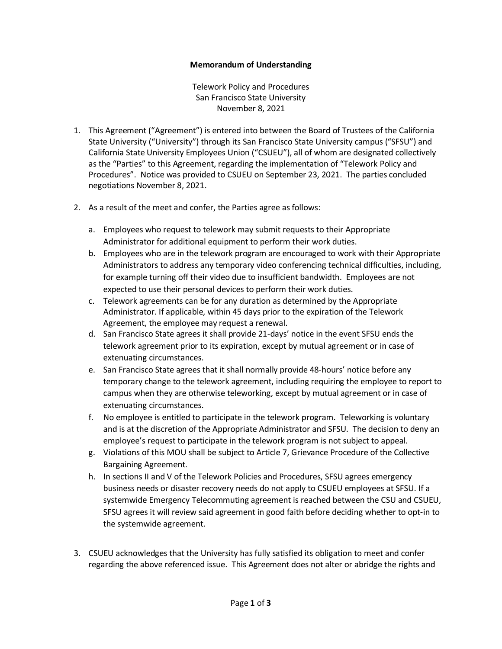## **Memorandum of Understanding**

Telework Policy and Procedures San Francisco State University November 8, 2021

- 1. This Agreement ("Agreement") is entered into between the Board of Trustees of the California State University ("University") through its San Francisco State University campus ("SFSU") and California State University Employees Union ("CSUEU"), all of whom are designated collectively as the "Parties" to this Agreement, regarding the implementation of "Telework Policy and Procedures". Notice was provided to CSUEU on September 23, 2021. The parties concluded negotiations November 8, 2021.
- 2. As a result of the meet and confer, the Parties agree as follows:
	- a. Employees who request to telework may submit requests to their Appropriate Administrator for additional equipment to perform their work duties.
	- b. Employees who are in the telework program are encouraged to work with their Appropriate Administrators to address any temporary video conferencing technical difficulties, including, for example turning off their video due to insufficient bandwidth. Employees are not expected to use their personal devices to perform their work duties.
	- c. Telework agreements can be for any duration as determined by the Appropriate Administrator. If applicable, within 45 days prior to the expiration of the Telework Agreement, the employee may request a renewal.
	- d. San Francisco State agrees it shall provide 21-days' notice in the event SFSU ends the telework agreement prior to its expiration, except by mutual agreement or in case of extenuating circumstances.
	- e. San Francisco State agrees that it shall normally provide 48-hours' notice before any temporary change to the telework agreement, including requiring the employee to report to campus when they are otherwise teleworking, except by mutual agreement or in case of extenuating circumstances.
	- f. No employee is entitled to participate in the telework program. Teleworking is voluntary and is at the discretion of the Appropriate Administrator and SFSU. The decision to deny an employee's request to participate in the telework program is not subject to appeal.
	- g. Violations of this MOU shall be subject to Article 7, Grievance Procedure of the Collective Bargaining Agreement.
	- h. In sections II and V of the Telework Policies and Procedures, SFSU agrees emergency business needs or disaster recovery needs do not apply to CSUEU employees at SFSU. If a systemwide Emergency Telecommuting agreement is reached between the CSU and CSUEU, SFSU agrees it will review said agreement in good faith before deciding whether to opt-in to the systemwide agreement.
- 3. CSUEU acknowledges that the University has fully satisfied its obligation to meet and confer regarding the above referenced issue. This Agreement does not alter or abridge the rights and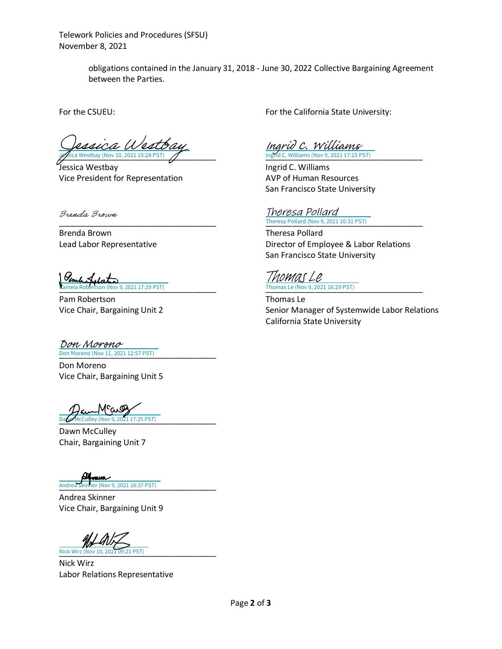Telework Policies and Procedures (SFSU) November 8, 2021

> obligations contained in the January 31, 2018 - June 30, 2022 Collective Bargaining Agreement between the Parties.

 $\frac{1}{2}$ Sica Westbay (Nov 10, 2021 15:28 PST)  $\frac{1}{2}$  lngrid C. Williams (Nov 9, 2021 17:15 PST) a Westbay

Jessica Westbay Ingrid C. Williams Vice President for Representation AVP of Human Resources

Brenda Brown

Brenda Brown Theresa Pollard

[\\_\\_\\_\\_\\_\\_\\_\\_\\_\\_\\_\\_\\_\\_\\_\\_\\_\\_\\_\\_\\_\\_\\_\\_\\_\\_\\_\\_\\_\\_\\_\\_\\_\\_\\_](https://adobefreeuserschannel.na1.documents.adobe.com/verifier?tx=CBJCHBCAABAAyOc8BIQyLkuM94V7Gwn62xDTPvmxXi46) [\\_\\_\\_\\_\\_\\_\\_\\_\\_\\_\\_\\_\\_\\_\\_\\_\\_\\_\\_\\_\\_\\_\\_\\_\\_\\_\\_\\_\\_\\_\\_\\_\\_\\_\\_](https://calstate.na1.documents.adobe.com/verifier?tx=CBJCHBCAABAAyOc8BIQyLkuM94V7Gwn62xDTPvmxXi46) Thomas Le (Nov 9, 2021 16:29 PST)  $P(201117:29)$  PST)

Pam Robertson Thomas Le

[\\_\\_\\_\\_\\_\\_\\_\\_\\_\\_\\_\\_\\_\\_\\_\\_\\_\\_\\_\\_\\_\\_\\_\\_\\_\\_\\_\\_\\_\\_\\_\\_\\_\\_\\_](https://calstate.na1.documents.adobe.com/verifier?tx=CBJCHBCAABAAyOc8BIQyLkuM94V7Gwn62xDTPvmxXi46) Don Moreno (Nov 11, 2021 12:57 PST) Don Moreno

Don Moreno Vice Chair, Bargaining Unit 5

cai Daw McCulley (Nov 9, 2021 17:25 PST)

Dawn McCulley Chair, Bargaining Unit 7

[\\_\\_\\_\\_\\_\\_\\_\\_\\_\\_\\_\\_\\_\\_\\_\\_\\_\\_\\_\\_\\_\\_\\_\\_\\_\\_\\_\\_\\_\\_\\_\\_\\_\\_\\_](https://calstate.na1.documents.adobe.com/verifier?tx=CBJCHBCAABAAyOc8BIQyLkuM94V7Gwn62xDTPvmxXi46) Andrea Skinner (Nov 9, 2021 16:37 PST)

Andrea Skinner Vice Chair, Bargaining Unit 9

[\\_\\_\\_\\_\\_\\_\\_\\_\\_\\_\\_\\_\\_\\_\\_\\_\\_\\_\\_\\_\\_\\_\\_\\_\\_\\_\\_\\_\\_\\_\\_\\_\\_\\_\\_](https://na1.documents.adobe.com/verifier?tx=CBJCHBCAABAAyOc8BIQyLkuM94V7Gwn62xDTPvmxXi46) Nick Wirz (Nov 10, 2021 09:21 PST)

Nick Wirz Labor Relations Representative

For the CSUEU: For the California State University:

[Ingrid C. Williams](https://adobecancelledaccountschannel.na1.documents.adobe.com/verifier?tx=CBJCHBCAABAAyOc8BIQyLkuM94V7Gwn62xDTPvmxXi46)

San Francisco State University

## [\\_\\_\\_\\_\\_\\_\\_\\_\\_\\_\\_\\_\\_\\_\\_\\_\\_\\_\\_\\_\\_\\_\\_\\_\\_\\_\\_\\_\\_\\_\\_\\_\\_\\_\\_](https://adobecancelledaccountschannel.na1.documents.adobe.com/verifier?tx=CBJCHBCAABAAyOc8BIQyLkuM94V7Gwn62xDTPvmxXi46) [\\_\\_\\_\\_\\_\\_\\_\\_\\_\\_\\_\\_\\_\\_\\_\\_\\_\\_\\_\\_\\_\\_\\_\\_\\_\\_\\_\\_\\_\\_\\_\\_\\_\\_\\_](https://adobecancelledaccountschannel.na1.documents.adobe.com/verifier?tx=CBJCHBCAABAAyOc8BIQyLkuM94V7Gwn62xDTPvmxXi46) Theresa Pollard (Nov 9, 2021 16:31 PST) Theresa Pollard

Lead Labor Representative **Director of Employee & Labor Relations** San Francisco State University

Thomas Le

Vice Chair, Bargaining Unit 2 Senior Manager of Systemwide Labor Relations California State University